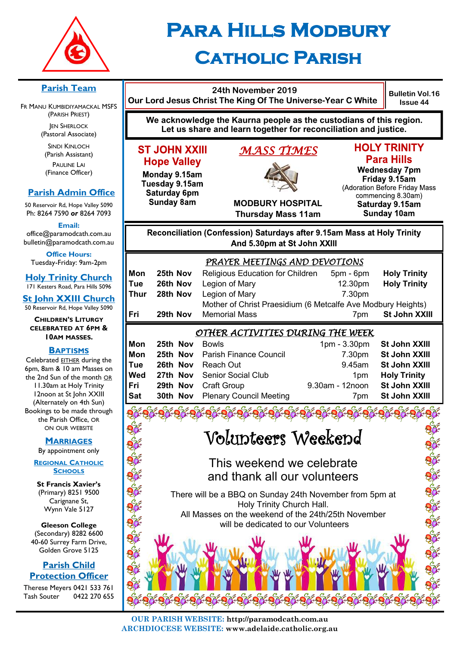

# **Para Hills Modbury Catholic Parish**

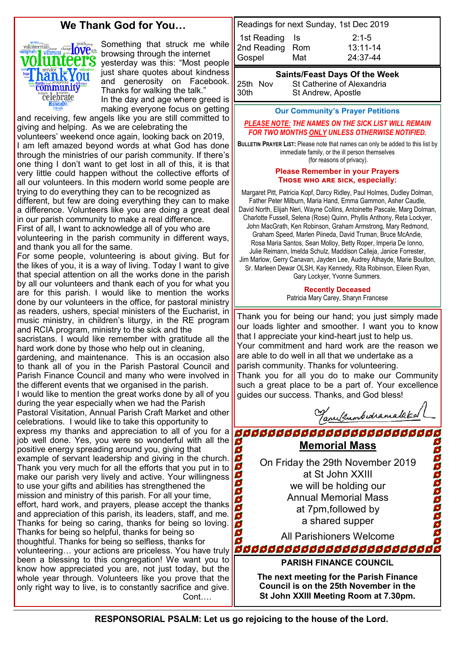## **We Thank God for You…**



Something that struck me while browsing through the internet yesterday was this: "Most people just share quotes about kindness and generosity on Facebook. Thanks for walking the talk." In the day and age where greed is making everyone focus on getting

and receiving, few angels like you are still committed to giving and helping. As we are celebrating the volunteers' weekend once again, looking back on 2019, I am left amazed beyond words at what God has done through the ministries of our parish community. If there's one thing I don't want to get lost in all of this, it is that very little could happen without the collective efforts of all our volunteers. In this modern world some people are trying to do everything they can to be recognized as different, but few are doing everything they can to make a difference. Volunteers like you are doing a great deal in our parish community to make a real difference.

First of all, I want to acknowledge all of you who are volunteering in the parish community in different ways, and thank you all for the same.

For some people, volunteering is about giving. But for the likes of you, it is a way of living. Today I want to give that special attention on all the works done in the parish by all our volunteers and thank each of you for what you are for this parish. I would like to mention the works done by our volunteers in the office, for pastoral ministry as readers, ushers, special ministers of the Eucharist, in music ministry, in children's liturgy, in the RE program and RCIA program, ministry to the sick and the sacristans. I would like remember with gratitude all the hard work done by those who help out in cleaning, gardening, and maintenance. This is an occasion also to thank all of you in the Parish Pastoral Council and Parish Finance Council and many who were involved in the different events that we organised in the parish. I would like to mention the great works done by all of you during the year especially when we had the Parish Pastoral Visitation, Annual Parish Craft Market and other celebrations. I would like to take this opportunity to express my thanks and appreciation to all of you for a OO job well done. Yes, you were so wonderful with all the positive energy spreading around you, giving that aaaaaaaaa example of servant leadership and giving in the church. Thank you very much for all the efforts that you put in to make our parish very lively and active. Your willingness to use your gifts and abilities has strengthened the mission and ministry of this parish. For all your time, effort, hard work, and prayers, please accept the thanks and appreciation of this parish, its leaders, staff, and me. Thanks for being so caring, thanks for being so loving. Thanks for being so helpful, thanks for being so O thoughtful. Thanks for being so selfless, thanks for volunteering... your actions are priceless. You have truly **Good Society And Society of Society of Society** been a blessing to this congregation! We want you to know how appreciated you are, not just today, but the whole year through. Volunteers like you prove that the only right way to live, is to constantly sacrifice and give. Cont….

Readings for next Sunday, 1st Dec 2019 1st Reading Is 2:1-5 2nd Reading Rom 13:11-14 Gospel Mat 24:37-44

#### **Saints/Feast Days Of the Week**

25th Nov St Catherine of Alexandria 30th St Andrew, Apostle

**Our Community's Prayer Petitions** 

#### *PLEASE NOTE: THE NAMES ON THE SICK LIST WILL REMAIN FOR TWO MONTHS ONLY UNLESS OTHERWISE NOTIFIED.*

**BULLETIN PRAYER LIST:** Please note that names can only be added to this list by immediate family, or the ill person themselves (for reasons of privacy).

#### **Please Remember in your Prayers Those who are sick, especially:**

Margaret Pitt, Patricia Kopf, Darcy Ridley, Paul Holmes, Dudley Dolman, Father Peter Milburn, Maria Hand, Emma Gammon, Asher Caudle, David North, Elijah Neri, Wayne Collins, Antoinette Pascale, Marg Dolman, Charlotte Fussell, Selena (Rose) Quinn, Phyllis Anthony, Reta Lockyer, John MacGrath, Ken Robinson, Graham Armstrong, Mary Redmond, Graham Speed, Marlen Piineda, David Truman, Bruce McAndie, Rosa Maria Santos, Sean Molloy, Betty Roper, Imperia De Ionno, Julie Reimann, Imelda Schulz, Maddison Calleja, Janice Forrester, Jim Marlow, Gerry Canavan, Jayden Lee, Audrey Athayde, Marie Boulton, Sr. Marleen Dewar OLSH, Kay Kennedy, Rita Robinson, Eileen Ryan, Gary Lockyer, Yvonne Summers.

#### **Recently Deceased**

Patricia Mary Carey, Sharyn Francese

Thank you for being our hand; you just simply made our loads lighter and smoother. I want you to know that I appreciate your kind-heart just to help us. Your commitment and hard work are the reason we are able to do well in all that we undertake as a parish community. Thanks for volunteering. Thank you for all you do to make our Community such a great place to be a part of. Your excellence guides our success. Thanks, and God bless!

Tanultumbedramataked

**BBBBBBBBBBBBBBBBBBBBBBB** 2222222222222 **Memorial Mass** On Friday the 29th November 2019 at St John XXIII we will be holding our Annual Memorial Mass at 7pm,followed by a shared supper All Parishioners Welcome

**PARISH FINANCE COUNCIL**

**The next meeting for the Parish Finance Council is on the 25th November in the St John XXIII Meeting Room at 7.30pm.**

**RESPONSORIAL PSALM: Let us go rejoicing to the house of the Lord.**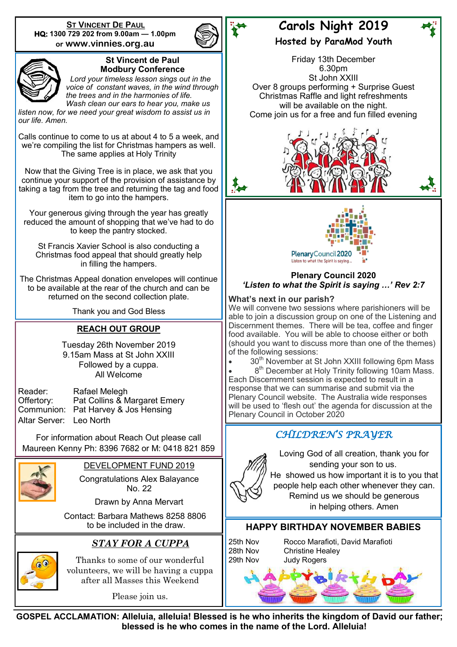**ST VINCENT DE PAUL HQ: 1300 729 202 from 9.00am — 1.00pm or www.vinnies.org.au** 





#### **St Vincent de Paul Modbury Conference**

 *Lord your timeless lesson sings out in the voice of constant waves, in the wind through the trees and in the harmonies of life. Wash clean our ears to hear you, make us* 

*listen now, for we need your great wisdom to assist us in our life. Amen.*

Calls continue to come to us at about 4 to 5 a week, and we're compiling the list for Christmas hampers as well. The same applies at Holy Trinity

Now that the Giving Tree is in place, we ask that you continue your support of the provision of assistance by taking a tag from the tree and returning the tag and food item to go into the hampers.

Your generous giving through the year has greatly reduced the amount of shopping that we've had to do to keep the pantry stocked.

St Francis Xavier School is also conducting a Christmas food appeal that should greatly help in filling the hampers.

The Christmas Appeal donation envelopes will continue to be available at the rear of the church and can be returned on the second collection plate.

Thank you and God Bless

### **REACH OUT GROUP**

Tuesday 26th November 2019 9.15am Mass at St John XXIII Followed by a cuppa. All Welcome

| Reader:       |
|---------------|
| Offertory:    |
| Communion:    |
| Altar Server: |

Rafael Melegh Pat Collins & Margaret Emery Pat Harvey & Jos Hensing Leo North

For information about Reach Out please call Maureen Kenny Ph: 8396 7682 or M: 0418 821 859



DEVELOPMENT FUND 2019

Congratulations Alex Balayance No. 22

Drawn by Anna Mervart

 Contact: Barbara Mathews 8258 8806 to be included in the draw.

## *STAY FOR A CUPPA*



Thanks to some of our wonderful volunteers, we will be having a cuppa after all Masses this Weekend

Please join us.

## **Carols Night 2019**

**Hosted by ParaMod Youth**

Friday 13th December 6.30pm St John XXIII Over 8 groups performing + Surprise Guest Christmas Raffle and light refreshments will be available on the night. Come join us for a free and fun filled evening





#### **Plenary Council 2020** *'Listen to what the Spirit is saying …' Rev 2:7*

#### **What's next in our parish?**

We will convene two sessions where parishioners will be able to join a discussion group on one of the Listening and Discernment themes. There will be tea, coffee and finger food available. You will be able to choose either or both (should you want to discuss more than one of the themes) of the following sessions:

30<sup>th</sup> November at St John XXIII following 6pm Mass

• 8<sup>th</sup> December at Holy Trinity following 10am Mass. Each Discernment session is expected to result in a response that we can summarise and submit via the Plenary Council website. The Australia wide responses will be used to 'flesh out' the agenda for discussion at the Plenary Council in October 2020

## *CHILDREN'S PRAYER*



Loving God of all creation, thank you for sending your son to us. He showed us how important it is to you that people help each other whenever they can. Remind us we should be generous in helping others. Amen

#### **HAPPY BIRTHDAY NOVEMBER BABIES**

25th Nov Rocco Marafioti, David Marafioti 28th Nov Christine Healey



**GOSPEL ACCLAMATION: Alleluia, alleluia! Blessed is he who inherits the kingdom of David our father; blessed is he who comes in the name of the Lord. Alleluia!**